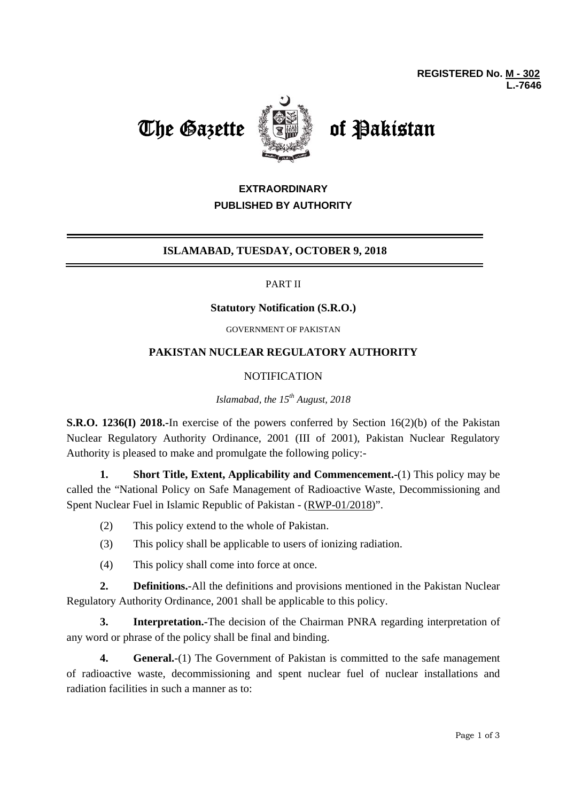



# **EXTRAORDINARY PUBLISHED BY AUTHORITY**

# **ISLAMABAD, TUESDAY, OCTOBER 9, 2018**

### PART II

#### **Statutory Notification (S.R.O.)**

GOVERNMENT OF PAKISTAN

## **PAKISTAN NUCLEAR REGULATORY AUTHORITY**

### **NOTIFICATION**

## *Islamabad, the 15th August, 2018*

**S.R.O. 1236(I) 2018.-**In exercise of the powers conferred by Section 16(2)(b) of the Pakistan Nuclear Regulatory Authority Ordinance, 2001 (III of 2001), Pakistan Nuclear Regulatory Authority is pleased to make and promulgate the following policy:-

**1. Short Title, Extent, Applicability and Commencement.-**(1) This policy may be called the "National Policy on Safe Management of Radioactive Waste, Decommissioning and Spent Nuclear Fuel in Islamic Republic of Pakistan - (RWP-01/2018)".

- (2)This policy extend to the whole of Pakistan.
- (3) This policy shall be applicable to users of ionizing radiation.
- (4) This policy shall come into force at once.

**2. Definitions.**-All the definitions and provisions mentioned in the Pakistan Nuclear Regulatory Authority Ordinance, 2001 shall be applicable to this policy.

**3. Interpretation.-**The decision of the Chairman PNRA regarding interpretation of any word or phrase of the policy shall be final and binding.

**4. General.**-(1) The Government of Pakistan is committed to the safe management of radioactive waste, decommissioning and spent nuclear fuel of nuclear installations and radiation facilities in such a manner as to: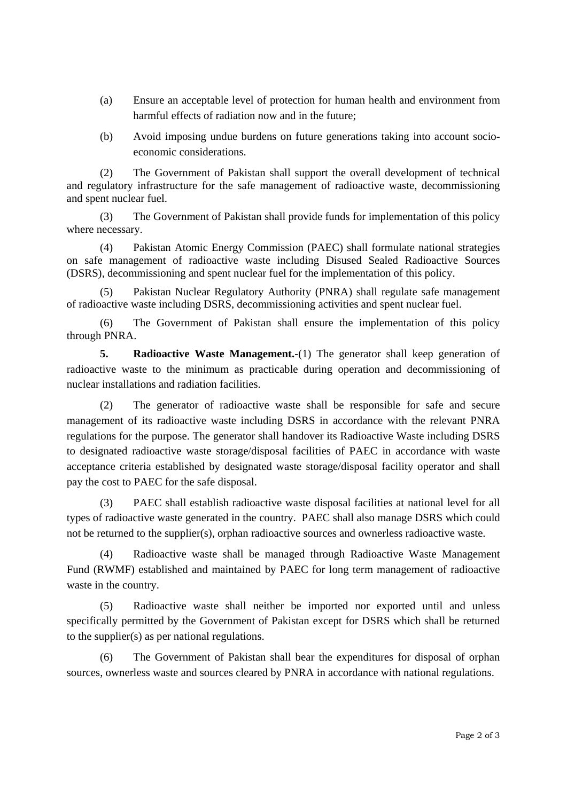- (a) Ensure an acceptable level of protection for human health and environment from harmful effects of radiation now and in the future;
- (b) Avoid imposing undue burdens on future generations taking into account socioeconomic considerations.

(2) The Government of Pakistan shall support the overall development of technical and regulatory infrastructure for the safe management of radioactive waste, decommissioning and spent nuclear fuel.

(3) The Government of Pakistan shall provide funds for implementation of this policy where necessary.

(4) Pakistan Atomic Energy Commission (PAEC) shall formulate national strategies on safe management of radioactive waste including Disused Sealed Radioactive Sources (DSRS), decommissioning and spent nuclear fuel for the implementation of this policy.

(5) Pakistan Nuclear Regulatory Authority (PNRA) shall regulate safe management of radioactive waste including DSRS, decommissioning activities and spent nuclear fuel.

(6) The Government of Pakistan shall ensure the implementation of this policy through PNRA.

**5. Radioactive Waste Management.-**(1) The generator shall keep generation of radioactive waste to the minimum as practicable during operation and decommissioning of nuclear installations and radiation facilities.

(2) The generator of radioactive waste shall be responsible for safe and secure management of its radioactive waste including DSRS in accordance with the relevant PNRA regulations for the purpose. The generator shall handover its Radioactive Waste including DSRS to designated radioactive waste storage/disposal facilities of PAEC in accordance with waste acceptance criteria established by designated waste storage/disposal facility operator and shall pay the cost to PAEC for the safe disposal.

(3) PAEC shall establish radioactive waste disposal facilities at national level for all types of radioactive waste generated in the country. PAEC shall also manage DSRS which could not be returned to the supplier(s), orphan radioactive sources and ownerless radioactive waste.

(4) Radioactive waste shall be managed through Radioactive Waste Management Fund (RWMF) established and maintained by PAEC for long term management of radioactive waste in the country.

(5) Radioactive waste shall neither be imported nor exported until and unless specifically permitted by the Government of Pakistan except for DSRS which shall be returned to the supplier(s) as per national regulations.

(6) The Government of Pakistan shall bear the expenditures for disposal of orphan sources, ownerless waste and sources cleared by PNRA in accordance with national regulations.